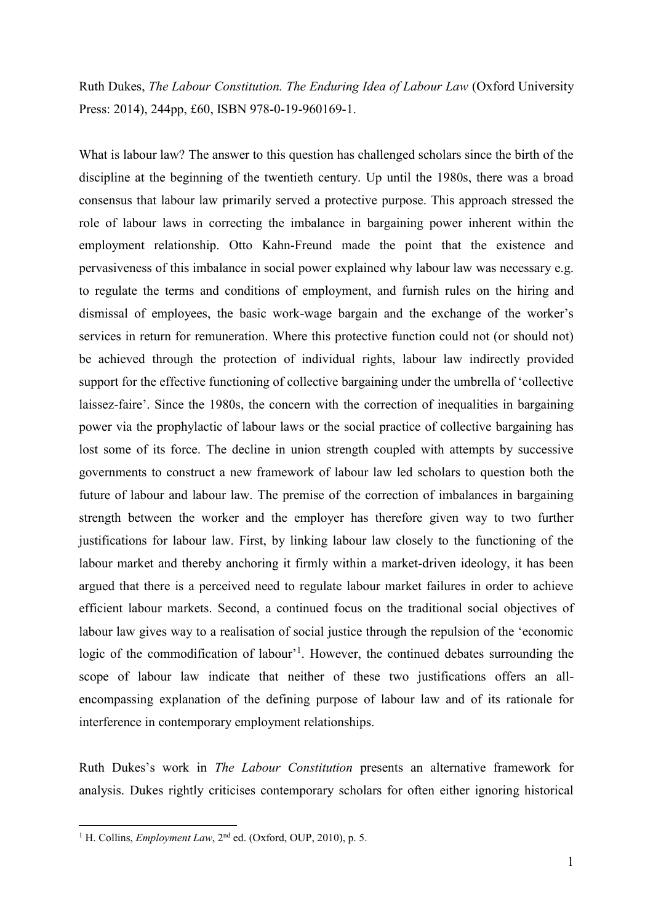Ruth Dukes, *The Labour Constitution. The Enduring Idea of Labour Law* (Oxford University Press: 2014), 244pp, £60, ISBN 978-0-19-960169-1.

What is labour law? The answer to this question has challenged scholars since the birth of the discipline at the beginning of the twentieth century. Up until the 1980s, there was a broad consensus that labour law primarily served a protective purpose. This approach stressed the role of labour laws in correcting the imbalance in bargaining power inherent within the employment relationship. Otto Kahn-Freund made the point that the existence and pervasiveness of this imbalance in social power explained why labour law was necessary e.g. to regulate the terms and conditions of employment, and furnish rules on the hiring and dismissal of employees, the basic work-wage bargain and the exchange of the worker's services in return for remuneration. Where this protective function could not (or should not) be achieved through the protection of individual rights, labour law indirectly provided support for the effective functioning of collective bargaining under the umbrella of 'collective laissez-faire'. Since the 1980s, the concern with the correction of inequalities in bargaining power via the prophylactic of labour laws or the social practice of collective bargaining has lost some of its force. The decline in union strength coupled with attempts by successive governments to construct a new framework of labour law led scholars to question both the future of labour and labour law. The premise of the correction of imbalances in bargaining strength between the worker and the employer has therefore given way to two further justifications for labour law. First, by linking labour law closely to the functioning of the labour market and thereby anchoring it firmly within a market-driven ideology, it has been argued that there is a perceived need to regulate labour market failures in order to achieve efficient labour markets. Second, a continued focus on the traditional social objectives of labour law gives way to a realisation of social justice through the repulsion of the 'economic logic of the commodification of labour'<sup>1</sup>. However, the continued debates surrounding the scope of labour law indicate that neither of these two justifications offers an allencompassing explanation of the defining purpose of labour law and of its rationale for interference in contemporary employment relationships.

Ruth Dukes's work in *The Labour Constitution* presents an alternative framework for analysis. Dukes rightly criticises contemporary scholars for often either ignoring historical

**.** 

<sup>&</sup>lt;sup>1</sup> H. Collins, *Employment Law*,  $2<sup>nd</sup>$  ed. (Oxford, OUP, 2010), p. 5.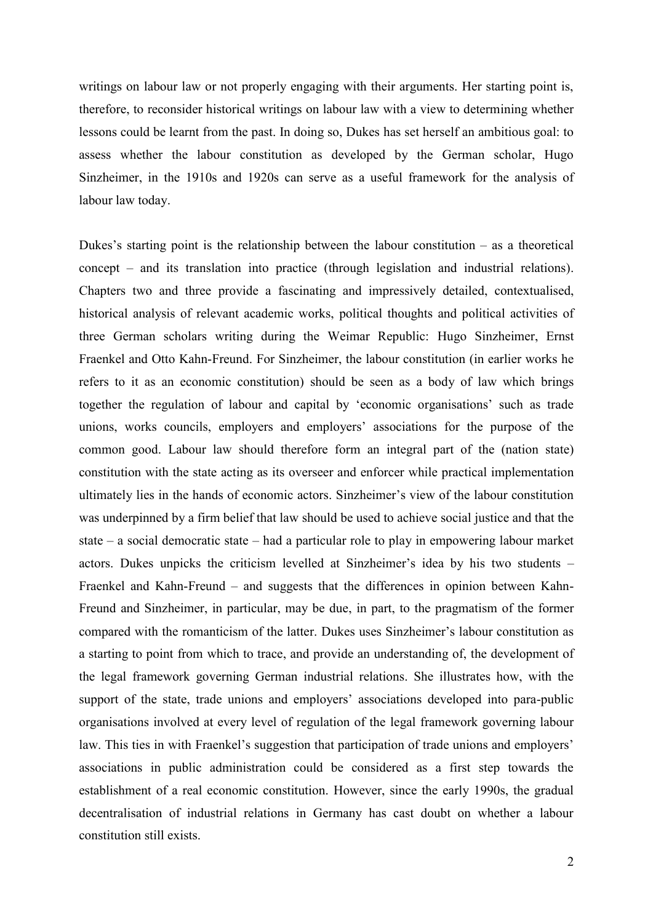writings on labour law or not properly engaging with their arguments. Her starting point is, therefore, to reconsider historical writings on labour law with a view to determining whether lessons could be learnt from the past. In doing so, Dukes has set herself an ambitious goal: to assess whether the labour constitution as developed by the German scholar, Hugo Sinzheimer, in the 1910s and 1920s can serve as a useful framework for the analysis of labour law today.

Dukes's starting point is the relationship between the labour constitution  $-$  as a theoretical concept – and its translation into practice (through legislation and industrial relations). Chapters two and three provide a fascinating and impressively detailed, contextualised, historical analysis of relevant academic works, political thoughts and political activities of three German scholars writing during the Weimar Republic: Hugo Sinzheimer, Ernst Fraenkel and Otto Kahn-Freund. For Sinzheimer, the labour constitution (in earlier works he refers to it as an economic constitution) should be seen as a body of law which brings together the regulation of labour and capital by 'economic organisations' such as trade unions, works councils, employers and employers' associations for the purpose of the common good. Labour law should therefore form an integral part of the (nation state) constitution with the state acting as its overseer and enforcer while practical implementation ultimately lies in the hands of economic actors. Sinzheimer's view of the labour constitution was underpinned by a firm belief that law should be used to achieve social justice and that the state – a social democratic state – had a particular role to play in empowering labour market actors. Dukes unpicks the criticism levelled at Sinzheimer's idea by his two students – Fraenkel and Kahn-Freund – and suggests that the differences in opinion between Kahn-Freund and Sinzheimer, in particular, may be due, in part, to the pragmatism of the former compared with the romanticism of the latter. Dukes uses Sinzheimer's labour constitution as a starting to point from which to trace, and provide an understanding of, the development of the legal framework governing German industrial relations. She illustrates how, with the support of the state, trade unions and employers' associations developed into para-public organisations involved at every level of regulation of the legal framework governing labour law. This ties in with Fraenkel's suggestion that participation of trade unions and employers' associations in public administration could be considered as a first step towards the establishment of a real economic constitution. However, since the early 1990s, the gradual decentralisation of industrial relations in Germany has cast doubt on whether a labour constitution still exists.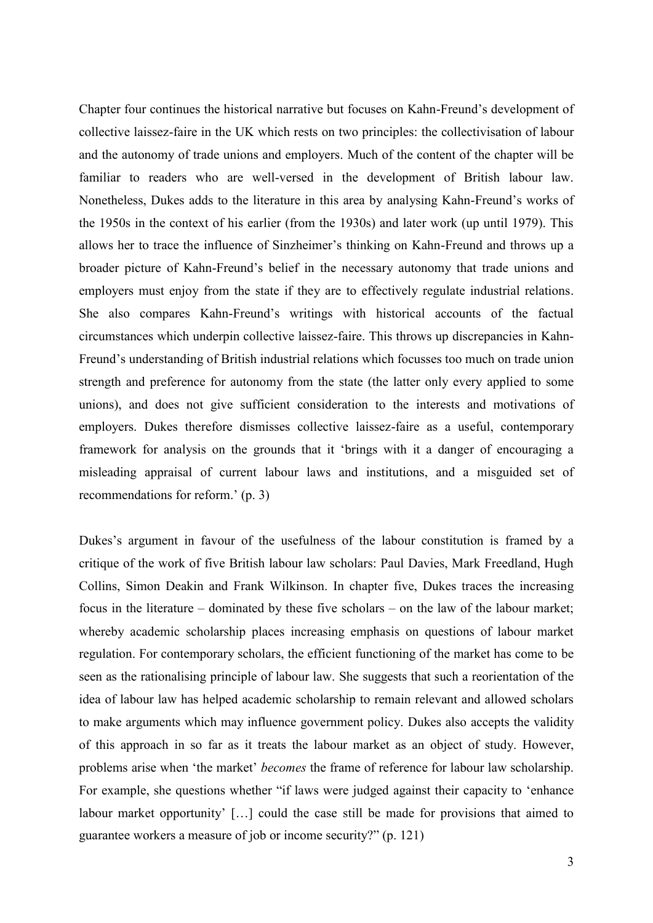Chapter four continues the historical narrative but focuses on Kahn-Freund's development of collective laissez-faire in the UK which rests on two principles: the collectivisation of labour and the autonomy of trade unions and employers. Much of the content of the chapter will be familiar to readers who are well-versed in the development of British labour law. Nonetheless, Dukes adds to the literature in this area by analysing Kahn-Freund's works of the 1950s in the context of his earlier (from the 1930s) and later work (up until 1979). This allows her to trace the influence of Sinzheimer's thinking on Kahn-Freund and throws up a broader picture of Kahn-Freund's belief in the necessary autonomy that trade unions and employers must enjoy from the state if they are to effectively regulate industrial relations. She also compares Kahn-Freund's writings with historical accounts of the factual circumstances which underpin collective laissez-faire. This throws up discrepancies in Kahn-Freund's understanding of British industrial relations which focusses too much on trade union strength and preference for autonomy from the state (the latter only every applied to some unions), and does not give sufficient consideration to the interests and motivations of employers. Dukes therefore dismisses collective laissez-faire as a useful, contemporary framework for analysis on the grounds that it 'brings with it a danger of encouraging a misleading appraisal of current labour laws and institutions, and a misguided set of recommendations for reform.' (p. 3)

Dukes's argument in favour of the usefulness of the labour constitution is framed by a critique of the work of five British labour law scholars: Paul Davies, Mark Freedland, Hugh Collins, Simon Deakin and Frank Wilkinson. In chapter five, Dukes traces the increasing focus in the literature – dominated by these five scholars – on the law of the labour market; whereby academic scholarship places increasing emphasis on questions of labour market regulation. For contemporary scholars, the efficient functioning of the market has come to be seen as the rationalising principle of labour law. She suggests that such a reorientation of the idea of labour law has helped academic scholarship to remain relevant and allowed scholars to make arguments which may influence government policy. Dukes also accepts the validity of this approach in so far as it treats the labour market as an object of study. However, problems arise when 'the market' *becomes* the frame of reference for labour law scholarship. For example, she questions whether "if laws were judged against their capacity to 'enhance labour market opportunity' […] could the case still be made for provisions that aimed to guarantee workers a measure of job or income security?" (p. 121)